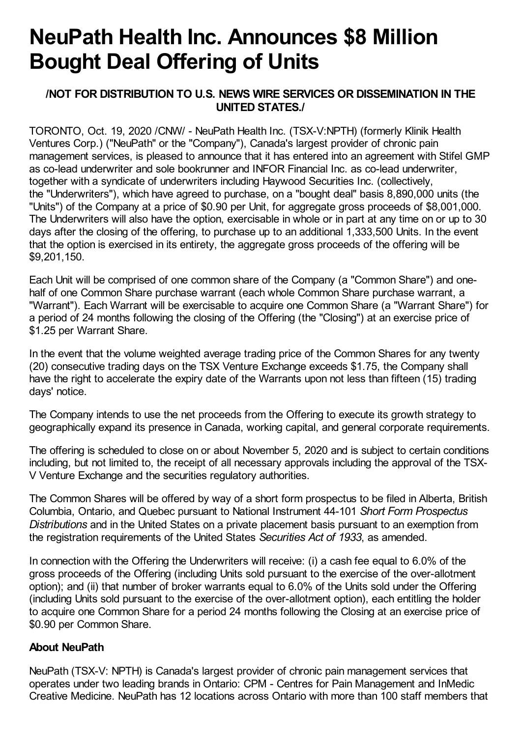## **NeuPath Health Inc. Announces \$8 Million Bought Deal Offering of Units**

## **/NOT FOR DISTRIBUTION TO U.S. NEWS WIRE SERVICES OR DISSEMINATION IN THE UNITED STATES./**

TORONTO, Oct. 19, 2020 /CNW/ - NeuPath Health Inc. (TSX-V:NPTH) (formerly Klinik Health Ventures Corp.) ("NeuPath" or the "Company"), Canada's largest provider of chronic pain management services, is pleased to announce that it has entered into an agreement with Stifel GMP as co-lead underwriter and sole bookrunner and INFOR Financial Inc. as co-lead underwriter, together with a syndicate of underwriters including Haywood Securities Inc. (collectively, the "Underwriters"), which have agreed to purchase, on a "bought deal" basis 8,890,000 units (the "Units") of the Company at a price of \$0.90 per Unit, for aggregate gross proceeds of \$8,001,000. The Underwriters will also have the option, exercisable in whole or in part at any time on or up to 30 days after the closing of the offering, to purchase up to an additional 1,333,500 Units. In the event that the option is exercised in its entirety, the aggregate gross proceeds of the offering will be \$9,201,150.

Each Unit will be comprised of one common share of the Company (a "Common Share") and onehalf of one Common Share purchase warrant (each whole Common Share purchase warrant, a "Warrant"). Each Warrant will be exercisable to acquire one Common Share (a "Warrant Share") for a period of 24 months following the closing of the Offering (the "Closing") at an exercise price of \$1.25 per Warrant Share.

In the event that the volume weighted average trading price of the Common Shares for any twenty (20) consecutive trading days on the TSX Venture Exchange exceeds \$1.75, the Company shall have the right to accelerate the expiry date of the Warrants upon not less than fifteen (15) trading days' notice.

The Company intends to use the net proceeds from the Offering to execute its growth strategy to geographically expand its presence in Canada, working capital, and general corporate requirements.

The offering is scheduled to close on or about November 5, 2020 and is subject to certain conditions including, but not limited to, the receipt of all necessary approvals including the approval of the TSX-V Venture Exchange and the securities regulatory authorities.

The Common Shares will be offered by way of a short form prospectus to be filed in Alberta, British Columbia, Ontario, and Quebec pursuant to National Instrument 44-101 *Short Form Prospectus Distributions* and in the United States on a private placement basis pursuant to an exemption from the registration requirements of the United States *Securities Act of 1933*, as amended.

In connection with the Offering the Underwriters will receive: (i) a cash fee equal to 6.0% of the gross proceeds of the Offering (including Units sold pursuant to the exercise of the over-allotment option); and (ii) that number of broker warrants equal to 6.0% of the Units sold under the Offering (including Units sold pursuant to the exercise of the over-allotment option), each entitling the holder to acquire one Common Share for a period 24 months following the Closing at an exercise price of \$0.90 per Common Share.

## **About NeuPath**

NeuPath (TSX-V: NPTH) is Canada's largest provider of chronic pain management services that operates under two leading brands in Ontario: CPM - Centres for Pain Management and InMedic Creative Medicine. NeuPath has 12 locations across Ontario with more than 100 staff members that